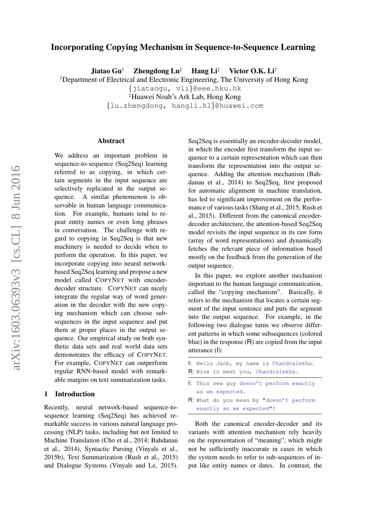# Incorporating Copying Mechanism in Sequence-to-Sequence Learning

Jiatao Gu<sup>†</sup> Zhengdong Lu<sup>‡</sup> Hang Li<sup>‡</sup> Victor O.K. Li<sup>†</sup>

†Department of Electrical and Electronic Engineering, The University of Hong Kong

{jiataogu, vli}@eee.hku.hk

‡Huawei Noah's Ark Lab, Hong Kong

{lu.zhengdong, hangli.hl}@huawei.com

#### Abstract

We address an important problem in sequence-to-sequence (Seq2Seq) learning referred to as copying, in which certain segments in the input sequence are selectively replicated in the output sequence. A similar phenomenon is observable in human language communication. For example, humans tend to repeat entity names or even long phrases in conversation. The challenge with regard to copying in Seq2Seq is that new machinery is needed to decide when to perform the operation. In this paper, we incorporate copying into neural networkbased Seq2Seq learning and propose a new model called COPYNET with encoderdecoder structure. COPYNET can nicely integrate the regular way of word generation in the decoder with the new copying mechanism which can choose subsequences in the input sequence and put them at proper places in the output sequence. Our empirical study on both synthetic data sets and real world data sets demonstrates the efficacy of COPYNET. For example, COPYNET can outperform regular RNN-based model with remarkable margins on text summarization tasks.

#### 1 Introduction

Recently, neural network-based sequence-tosequence learning (Seq2Seq) has achieved remarkable success in various natural language processing (NLP) tasks, including but not limited to Machine Translation (Cho et al., 2014; Bahdanau et al., 2014), Syntactic Parsing (Vinyals et al., 2015b), Text Summarization (Rush et al., 2015) and Dialogue Systems (Vinyals and Le, 2015). Seq2Seq is essentially an encoder-decoder model, in which the encoder first transform the input sequence to a certain representation which can then transform the representation into the output sequence. Adding the attention mechanism (Bahdanau et al., 2014) to Seq2Seq, first proposed for automatic alignment in machine translation, has led to significant improvement on the performance of various tasks (Shang et al., 2015; Rush et al., 2015). Different from the canonical encoderdecoder architecture, the attention-based Seq2Seq model revisits the input sequence in its raw form (array of word representations) and dynamically fetches the relevant piece of information based mostly on the feedback from the generation of the output sequence.

In this paper, we explore another mechanism important to the human language communication, called the "copying mechanism". Basically, it refers to the mechanism that locates a certain segment of the input sentence and puts the segment into the output sequence. For example, in the following two dialogue turns we observe different patterns in which some subsequences (colored blue) in the response (R) are copied from the input utterance (I):

| I: Hello Jack, my name is Chandralekha.         |
|-------------------------------------------------|
| <b>R</b> : Nice to meet you, Chandralekha.      |
| : This new quy doesn't perform exactly          |
| as we expected.                                 |
| <b>R</b> : What do you mean by "doesn't perform |
| exactly as we expected"?                        |

Both the canonical encoder-decoder and its variants with attention mechanism rely heavily on the representation of "meaning", which might not be sufficiently inaccurate in cases in which the system needs to refer to sub-sequences of input like entity names or dates. In contrast, the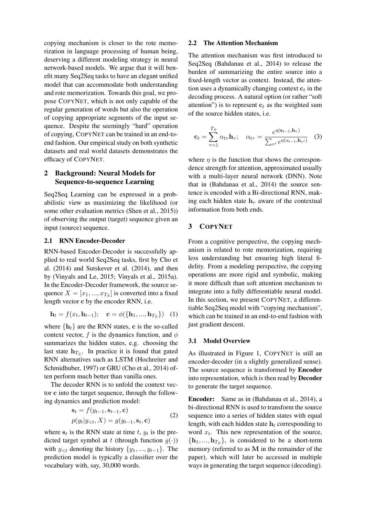copying mechanism is closer to the rote memorization in language processing of human being, deserving a different modeling strategy in neural network-based models. We argue that it will benefit many Seq2Seq tasks to have an elegant unified model that can accommodate both understanding and rote memorization. Towards this goal, we propose COPYNET, which is not only capable of the regular generation of words but also the operation of copying appropriate segments of the input sequence. Despite the seemingly "hard" operation of copying, COPYNET can be trained in an end-toend fashion. Our empirical study on both synthetic datasets and real world datasets demonstrates the efficacy of COPYNET.

# 2 Background: Neural Models for Sequence-to-sequence Learning

Seq2Seq Learning can be expressed in a probabilistic view as maximizing the likelihood (or some other evaluation metrics (Shen et al., 2015)) of observing the output (target) sequence given an input (source) sequence.

## 2.1 RNN Encoder-Decoder

RNN-based Encoder-Decoder is successfully applied to real world Seq2Seq tasks, first by Cho et al. (2014) and Sutskever et al. (2014), and then by (Vinyals and Le, 2015; Vinyals et al., 2015a). In the Encoder-Decoder framework, the source sequence  $X = [x_1, ..., x_{T_S}]$  is converted into a fixed length vector c by the encoder RNN, i.e.

$$
\mathbf{h}_t = f(x_t, \mathbf{h}_{t-1}); \quad \mathbf{c} = \phi(\{\mathbf{h}_1, ..., \mathbf{h}_{T_S}\}) \quad (1)
$$

where  $\{h_t\}$  are the RNN states, c is the so-called context vector, f is the dynamics function, and  $\phi$ summarizes the hidden states, e.g. choosing the last state  $h_{T_S}$ . In practice it is found that gated RNN alternatives such as LSTM (Hochreiter and Schmidhuber, 1997) or GRU (Cho et al., 2014) often perform much better than vanilla ones.

The decoder RNN is to unfold the context vector c into the target sequence, through the following dynamics and prediction model:

$$
\mathbf{s}_t = f(y_{t-1}, \mathbf{s}_{t-1}, \mathbf{c})
$$
  

$$
p(y_t | y_{< t}, X) = g(y_{t-1}, \mathbf{s}_t, \mathbf{c})
$$
 (2)

where  $s_t$  is the RNN state at time t,  $y_t$  is the predicted target symbol at t (through function  $g(\cdot)$ ) with  $y_{< t}$  denoting the history  $\{y_1, \ldots, y_{t-1}\}$ . The prediction model is typically a classifier over the vocabulary with, say, 30,000 words.

## 2.2 The Attention Mechanism

The attention mechanism was first introduced to Seq2Seq (Bahdanau et al., 2014) to release the burden of summarizing the entire source into a fixed-length vector as context. Instead, the attention uses a dynamically changing context  $c_t$  in the decoding process. A natural option (or rather "soft attention") is to represent  $c_t$  as the weighted sum of the source hidden states, i.e.

$$
\mathbf{c}_t = \sum_{\tau=1}^{T_S} \alpha_{t\tau} \mathbf{h}_{\tau}; \quad \alpha_{t\tau} = \frac{e^{\eta(\mathbf{s}_{t-1}, \mathbf{h}_{\tau})}}{\sum_{\tau'} e^{\eta(s_{t-1}, \mathbf{h}_{\tau'})}} \quad (3)
$$

where  $\eta$  is the function that shows the correspondence strength for attention, approximated usually with a multi-layer neural network (DNN). Note that in (Bahdanau et al., 2014) the source sentence is encoded with a Bi-directional RNN, making each hidden state  $h<sub>\tau</sub>$  aware of the contextual information from both ends.

## 3 COPYNET

From a cognitive perspective, the copying mechanism is related to rote memorization, requiring less understanding but ensuring high literal fidelity. From a modeling perspective, the copying operations are more rigid and symbolic, making it more difficult than soft attention mechanism to integrate into a fully differentiable neural model. In this section, we present COPYNET, a differentiable Seq2Seq model with "copying mechanism", which can be trained in an end-to-end fashion with just gradient descent.

### 3.1 Model Overview

As illustrated in Figure 1, COPYNET is still an encoder-decoder (in a slightly generalized sense). The source sequence is transformed by Encoder into representation, which is then read by Decoder to generate the target sequence.

Encoder: Same as in (Bahdanau et al., 2014), a bi-directional RNN is used to transform the source sequence into a series of hidden states with equal length, with each hidden state  $h_t$  corresponding to word  $x_t$ . This new representation of the source,  $\{h_1, ..., h_{T_S}\}\$ , is considered to be a short-term memory (referred to as M in the remainder of the paper), which will later be accessed in multiple ways in generating the target sequence (decoding).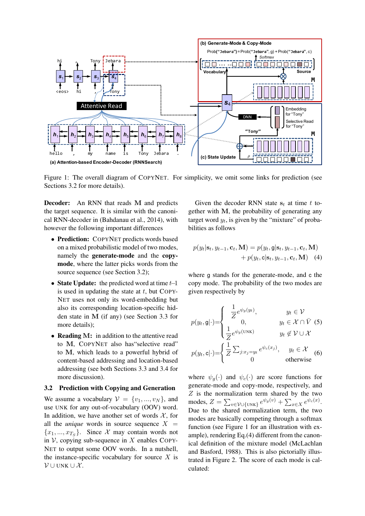

Figure 1: The overall diagram of COPYNET. For simplicity, we omit some links for prediction (see Sections 3.2 for more details).

Decoder: An RNN that reads M and predicts the target sequence. It is similar with the canonical RNN-decoder in (Bahdanau et al., 2014), with however the following important differences

- Prediction: COPYNET predicts words based on a mixed probabilistic model of two modes, namely the generate-mode and the copymode, where the latter picks words from the source sequence (see Section 3.2);
- State Update: the predicted word at time  $t-1$ is used in updating the state at  $t$ , but COPY-NET uses not only its word-embedding but also its corresponding location-specific hidden state in M (if any) (see Section 3.3 for more details);
- Reading M: in addition to the attentive read to M, COPYNET also has"selective read" to M, which leads to a powerful hybrid of content-based addressing and location-based addressing (see both Sections 3.3 and 3.4 for more discussion).

#### 3.2 Prediction with Copying and Generation

We assume a vocabulary  $V = \{v_1, ..., v_N\}$ , and use UNK for any out-of-vocabulary (OOV) word. In addition, we have another set of words  $X$ , for all the *unique* words in source sequence  $X =$  ${x_1, ..., x_{T_S}}$ . Since X may contain words not in  $V$ , copying sub-sequence in X enables COPY-NET to output some OOV words. In a nutshell, the instance-specific vocabulary for source  $X$  is  $\mathcal{V} \cup$  UNK  $\cup$  X.

Given the decoder RNN state  $s_t$  at time t together with M, the probability of generating any target word  $y_t$ , is given by the "mixture" of probabilities as follows

$$
p(y_t | \mathbf{s}_t, y_{t-1}, \mathbf{c}_t, \mathbf{M}) = p(y_t, \mathbf{g} | \mathbf{s}_t, y_{t-1}, \mathbf{c}_t, \mathbf{M}) + p(y_t, \mathbf{c} | \mathbf{s}_t, y_{t-1}, \mathbf{c}_t, \mathbf{M}) \quad (4)
$$

where g stands for the generate-mode, and c the copy mode. The probability of the two modes are given respectively by

$$
p(y_t, \mathbf{g}|\cdot) = \begin{cases} \frac{1}{Z} e^{\psi_g(y_t)}, & y_t \in \mathcal{V} \\ 0, & y_t \in \mathcal{X} \cap \bar{V} \end{cases}
$$
  
\n
$$
p(y_t, \mathbf{c}|\cdot) = \begin{cases} \frac{1}{Z} \sum_{j:x_j=y_t} e^{\psi_c(x_j)}, & y_t \in \mathcal{X} \\ 0 & \text{otherwise} \end{cases}
$$
 (6)

where  $\psi_q(\cdot)$  and  $\psi_c(\cdot)$  are score functions for generate-mode and copy-mode, respectively, and  $Z$  is the normalization term shared by the two modes,  $Z = \sum_{v \in \mathcal{V} \cup \{\text{UNK}\}} e^{\psi_g(v)} + \sum_{x \in X} e^{\psi_c(x)}$ . Due to the shared normalization term, the two modes are basically competing through a softmax function (see Figure 1 for an illustration with example), rendering Eq.(4) different from the canonical definition of the mixture model (McLachlan and Basford, 1988). This is also pictorially illustrated in Figure 2. The score of each mode is calculated: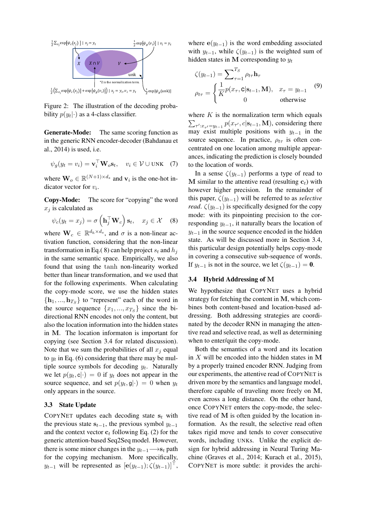

Figure 2: The illustration of the decoding probability  $p(y_t|\cdot)$  as a 4-class classifier.

Generate-Mode: The same scoring function as in the generic RNN encoder-decoder (Bahdanau et al., 2014) is used, i.e.

$$
\psi_g(y_t = v_i) = \mathbf{v}_i^{\top} \mathbf{W}_o \mathbf{s}_t, \quad v_i \in \mathcal{V} \cup \text{UNK} \quad (7)
$$

where  $\mathbf{W}_o \in \mathbb{R}^{(N+1) \times d_s}$  and  $\mathbf{v}_i$  is the one-hot indicator vector for  $v_i$ .

Copy-Mode: The score for "copying" the word  $x_j$  is calculated as

$$
\psi_c(y_t = x_j) = \sigma\left(\mathbf{h}_j^\top \mathbf{W}_c\right) \mathbf{s}_t, \quad x_j \in \mathcal{X} \quad (8)
$$

where  $\mathbf{W}_c \in \mathbb{R}^{d_h \times d_s}$ , and  $\sigma$  is a non-linear activation function, considering that the non-linear transformation in Eq.(8) can help project  $s_t$  and  $h_j$ in the same semantic space. Empirically, we also found that using the tanh non-linearity worked better than linear transformation, and we used that for the following experiments. When calculating the copy-mode score, we use the hidden states  $\{h_1, ..., h_{T_S}\}\$  to "represent" each of the word in the source sequence  $\{x_1, ..., x_{T_S}\}\$  since the bidirectional RNN encodes not only the content, but also the location information into the hidden states in M. The location informaton is important for copying (see Section 3.4 for related discussion). Note that we sum the probabilities of all  $x_i$  equal to  $y_t$  in Eq. (6) considering that there may be multiple source symbols for decoding  $y_t$ . Naturally we let  $p(y_t, c|.) = 0$  if  $y_t$  does not appear in the source sequence, and set  $p(y_t, \mathbf{g}|\cdot) = 0$  when  $y_t$ only appears in the source.

#### 3.3 State Update

COPYNET updates each decoding state  $s_t$  with the previous state  $s_{t-1}$ , the previous symbol  $y_{t-1}$ and the context vector  $c_t$  following Eq. (2) for the generic attention-based Seq2Seq model. However, there is some minor changes in the  $y_{t-1}$   $\longrightarrow$ s<sub>t</sub> path for the copying mechanism. More specifically,  $y_{t-1}$  will be represented as  $[e(y_{t-1}); \zeta(y_{t-1})]^\top$ , where  $e(y_{t-1})$  is the word embedding associated with  $y_{t-1}$ , while  $\zeta(y_{t-1})$  is the weighted sum of hidden states in M corresponding to  $y_t$ 

$$
\zeta(y_{t-1}) = \sum_{\tau=1}^{T_S} \rho_{t\tau} \mathbf{h}_{\tau}
$$
\n
$$
\rho_{t\tau} = \begin{cases}\n\frac{1}{K} p(x_{\tau}, \mathbf{c} | \mathbf{s}_{t-1}, \mathbf{M}), & x_{\tau} = y_{t-1} \\
0 & \text{otherwise}\n\end{cases}
$$
\n(9)

where  $K$  is the normalization term which equals  $\sum_{\tau':x_{\tau'}=y_{t-1}} p(x_{\tau'}, c | \mathbf{s}_{t-1}, \mathbf{M})$ , considering there may exist multiple positions with  $y_{t-1}$  in the source sequence. In practice,  $\rho_{t\tau}$  is often concentrated on one location among multiple appearances, indicating the prediction is closely bounded to the location of words.

In a sense  $\zeta(y_{t-1})$  performs a type of read to M similar to the attentive read (resulting  $c_t$ ) with however higher precision. In the remainder of this paper,  $\zeta(y_{t-1})$  will be referred to as *selective read.*  $\zeta(y_{t-1})$  is specifically designed for the copy mode: with its pinpointing precision to the corresponding  $y_{t-1}$ , it naturally bears the location of  $y_{t-1}$  in the source sequence encoded in the hidden state. As will be discussed more in Section 3.4, this particular design potentially helps copy-mode in covering a consecutive sub-sequence of words. If  $y_{t-1}$  is not in the source, we let  $\zeta(y_{t-1}) = 0$ .

## 3.4 Hybrid Addressing of M

We hypothesize that COPYNET uses a hybrid strategy for fetching the content in M, which combines both content-based and location-based addressing. Both addressing strategies are coordinated by the decoder RNN in managing the attentive read and selective read, as well as determining when to enter/quit the copy-mode.

Both the semantics of a word and its location in  $X$  will be encoded into the hidden states in  $M$ by a properly trained encoder RNN. Judging from our experiments, the attentive read of COPYNET is driven more by the semantics and language model, therefore capable of traveling more freely on M, even across a long distance. On the other hand, once COPYNET enters the copy-mode, the selective read of M is often guided by the location information. As the result, the selective read often takes rigid move and tends to cover consecutive words, including UNKs. Unlike the explicit design for hybrid addressing in Neural Turing Machine (Graves et al., 2014; Kurach et al., 2015), COPYNET is more subtle: it provides the archi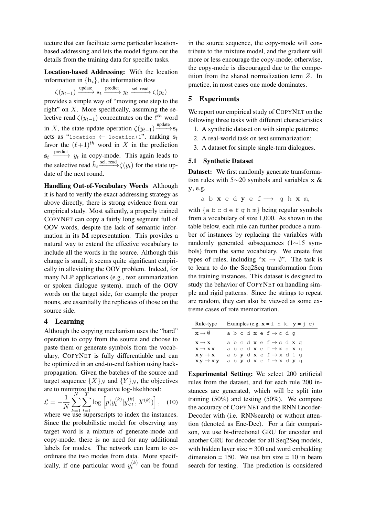tecture that can facilitate some particular locationbased addressing and lets the model figure out the details from the training data for specific tasks.

Location-based Addressing: With the location information in  $\{h_i\}$ , the information flow

$$
\zeta(y_{t-1}) \xrightarrow{\text{update}} \mathbf{s}_t \xrightarrow{\text{predict}} y_t \xrightarrow{\text{sel. read}} \zeta(y_t)
$$

provides a simple way of "moving one step to the right" on  $X$ . More specifically, assuming the selective read  $\zeta(y_{t-1})$  concentrates on the  $\ell^{th}$  word in X, the state-update operation  $\zeta(y_{t-1}) \longrightarrow^{\text{update}} s_t$ acts as "location  $\leftarrow$  location+1", making  $s_t$ favor the  $(\ell+1)^{th}$  word in X in the prediction  $s_t \xrightarrow{\text{predict}} y_t$  in copy-mode. This again leads to the selective read  $\hat{h}_t \stackrel{\text{sel. read}}{\longrightarrow} \zeta(y_t)$  for the state update of the next round.

Handling Out-of-Vocabulary Words Although it is hard to verify the exact addressing strategy as above directly, there is strong evidence from our empirical study. Most saliently, a properly trained COPYNET can copy a fairly long segment full of OOV words, despite the lack of semantic information in its M representation. This provides a natural way to extend the effective vocabulary to include all the words in the source. Although this change is small, it seems quite significant empirically in alleviating the OOV problem. Indeed, for many NLP applications (e.g., text summarization or spoken dialogue system), much of the OOV words on the target side, for example the proper nouns, are essentially the replicates of those on the source side.

# 4 Learning

Although the copying mechanism uses the "hard" operation to copy from the source and choose to paste them or generate symbols from the vocabulary, COPYNET is fully differentiable and can be optimized in an end-to-end fashion using backpropagation. Given the batches of the source and target sequence  $\{X\}_N$  and  $\{Y\}_N$ , the objectives are to minimize the negative log-likelihood:

$$
\mathcal{L} = -\frac{1}{N} \sum_{k=1}^{N} \sum_{t=1}^{T} \log \left[ p(y_t^{(k)} | y_{  
where we use superscripts to index the instances.
$$

Since the probabilistic model for observing any target word is a mixture of generate-mode and copy-mode, there is no need for any additional labels for modes. The network can learn to coordinate the two modes from data. More specifically, if one particular word  $y_t^{(k)}$  $t_t^{(k)}$  can be found

in the source sequence, the copy-mode will contribute to the mixture model, and the gradient will more or less encourage the copy-mode; otherwise, the copy-mode is discouraged due to the competition from the shared normalization term Z. In practice, in most cases one mode dominates.

# 5 Experiments

We report our empirical study of COPYNET on the following three tasks with different characteristics

- 1. A synthetic dataset on with simple patterns;
- 2. A real-world task on text summarization;
- 3. A dataset for simple single-turn dialogues.

## 5.1 Synthetic Dataset

Dataset: We first randomly generate transformation rules with 5∼20 symbols and variables x & y, e.g.

a b  $x c d y e f \rightarrow g h x m$ ,

with  $\{a \, b \, c \, d \in f \}$  h m $\}$  being regular symbols from a vocabulary of size 1,000. As shown in the table below, each rule can further produce a number of instances by replacing the variables with randomly generated subsequences (1∼15 symbols) from the same vocabulary. We create five types of rules, including " $x \rightarrow \emptyset$ ". The task is to learn to do the Seq2Seq transformation from the training instances. This dataset is designed to study the behavior of COPYNET on handling simple and rigid patterns. Since the strings to repeat are random, they can also be viewed as some extreme cases of rote memorization.

| Rule-type                                                 | Examples (e.g. $x = i$ h k, $y = j$ c)               |
|-----------------------------------------------------------|------------------------------------------------------|
| $\mathbf{x} \rightarrow \emptyset$                        | $ a b c d \times e f \rightarrow c d q$              |
| $\mathbf{x} \rightarrow \mathbf{x}$                       | abcd $\mathbf{x}$ ef $\rightarrow$ cd $\mathbf{x}$ q |
| $\mathbf{x} \rightarrow \mathbf{x} \mathbf{x}$            | a b c d $x e f \rightarrow x d x q$                  |
| $\mathbf{x}\mathbf{y} \rightarrow \mathbf{x}$             | a b $y$ d $x$ e $f \rightarrow x$ d i q              |
| $\mathbf{x} \mathbf{y} \rightarrow \mathbf{x} \mathbf{y}$ | a b $y$ d $x$ e f $\rightarrow$ $x$ d $y$ q          |

Experimental Setting: We select 200 artificial rules from the dataset, and for each rule 200 instances are generated, which will be split into training (50%) and testing (50%). We compare the accuracy of COPYNET and the RNN Encoder-Decoder with (i.e. RNNsearch) or without attention (denoted as Enc-Dec). For a fair comparison, we use bi-directional GRU for encoder and another GRU for decoder for all Seq2Seq models, with hidden layer size = 300 and word embedding dimension  $= 150$ . We use bin size  $= 10$  in beam search for testing. The prediction is considered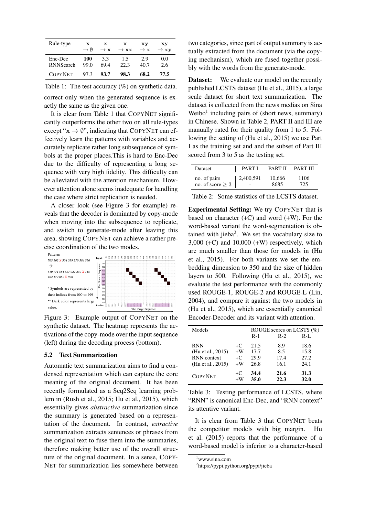| Rule-type        | x               | $\mathbf x$     | $\mathbf x$      | xу              | Хy               |
|------------------|-----------------|-----------------|------------------|-----------------|------------------|
|                  | $\rightarrow$ 0 | $\rightarrow$ x | $\rightarrow$ xx | $\rightarrow$ x | $\rightarrow xy$ |
| Enc-Dec          | 100             | 3.3             | 1.5              | 2.9             | 0.0              |
| <b>RNNSearch</b> | 99.0            | 69.4            | 22.3             | 40.7            | 2.6              |
| <b>COPYNET</b>   | 97.3            | 93.7            | 98.3             | 68.2            | 77.5             |

Table 1: The test accuracy (%) on synthetic data. correct only when the generated sequence is exactly the same as the given one.

It is clear from Table 1 that COPYNET significantly outperforms the other two on all rule-types except " $\mathbf{x} \rightarrow \emptyset$ ", indicating that COPYNET can effectively learn the patterns with variables and accurately replicate rather long subsequence of symbols at the proper places.This is hard to Enc-Dec due to the difficulty of representing a long sequence with very high fidelity. This difficulty can be alleviated with the attention mechanism. However attention alone seems inadequate for handling the case where strict replication is needed.

A closer look (see Figure 3 for example) reveals that the decoder is dominated by copy-mode when moving into the subsequence to replicate, and switch to generate-mode after leaving this area, showing COPYNET can achieve a rather precise coordination of the two modes.



Figure 3: Example output of COPYNET on the synthetic dataset. The heatmap represents the activations of the copy-mode over the input sequence (left) during the decoding process (bottom).

## 5.2 Text Summarization

Automatic text summarization aims to find a condensed representation which can capture the core meaning of the original document. It has been recently formulated as a Seq2Seq learning problem in (Rush et al., 2015; Hu et al., 2015), which essentially gives *abstractive* summarization since the summary is generated based on a representation of the document. In contrast, *extractive* summarization extracts sentences or phrases from the original text to fuse them into the summaries, therefore making better use of the overall structure of the original document. In a sense, COPY-NET for summarization lies somewhere between two categories, since part of output summary is actually extracted from the document (via the copying mechanism), which are fused together possibly with the words from the generate-mode.

**Dataset:** We evaluate our model on the recently published LCSTS dataset (Hu et al., 2015), a large scale dataset for short text summarization. The dataset is collected from the news medias on Sina Weibo<sup>1</sup> including pairs of (short news, summary) in Chinese. Shown in Table 2, PART II and III are manually rated for their quality from 1 to 5. Following the setting of (Hu et al., 2015) we use Part I as the training set and and the subset of Part III scored from 3 to 5 as the testing set.

| <b>Dataset</b>        | PART I    | <b>PART II</b> | <b>PART III</b> |
|-----------------------|-----------|----------------|-----------------|
| no. of pairs          | 2,400,591 | 10.666         | 1106            |
| no. of score $\geq 3$ |           | 8685           | 725             |

Table 2: Some statistics of the LCSTS dataset.

Experimental Setting: We try COPYNET that is based on character  $(+C)$  and word  $(+W)$ . For the word-based variant the word-segmentation is obtained with jieba<sup>2</sup>. We set the vocabulary size to  $3,000$  (+C) and  $10,000$  (+W) respectively, which are much smaller than those for models in (Hu et al., 2015). For both variants we set the embedding dimension to 350 and the size of hidden layers to 500. Following (Hu et al., 2015), we evaluate the test performance with the commonly used ROUGE-1, ROUGE-2 and ROUGE-L (Lin, 2004), and compare it against the two models in (Hu et al., 2015), which are essentially canonical Encoder-Decoder and its variant with attention.

| Models             | ROUGE scores on LCSTS $(\%)$<br>$R-I$ .<br>$R-1$<br>$R-2$ |      |      |      |
|--------------------|-----------------------------------------------------------|------|------|------|
| <b>RNN</b>         | +C.                                                       | 21.5 | 8.9  | 18.6 |
| (Hu et al., 2015)  | $+W$                                                      | 17.7 | 8.5  | 15.8 |
| <b>RNN</b> context | $+C$                                                      | 29.9 | 17.4 | 27.2 |
| (Hu et al., 2015)  | $+W$                                                      | 26.8 | 16.1 | 24.1 |
| <b>COPYNET</b>     | $+C$                                                      | 34.4 | 21.6 | 31.3 |
|                    | $+W$                                                      | 35.0 | 22.3 | 32.0 |

Table 3: Testing performance of LCSTS, where "RNN" is canonical Enc-Dec, and "RNN context" its attentive variant.

It is clear from Table 3 that COPYNET beats the competitor models with big margin. Hu et al. (2015) reports that the performance of a word-based model is inferior to a character-based

<sup>1</sup>www.sina.com

<sup>2</sup> https://pypi.python.org/pypi/jieba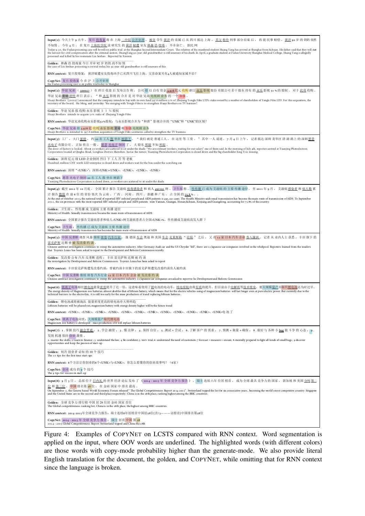| Input(1): 今天上午 9 点半,复旦 <u>投毒案</u> 将 在 上海 <u>二中院 公开审理</u> 。 <u>被害 学生 黄洋</u> 的 亲属 已 从 四川 抵达 上海 , <u>其父 称待</u> 刑事 部分结束 后 , 再 提 民事 赔偿 , <u>黄洋</u> 92 岁 的 奶奶 依然<br>不知情 。 今年 4 月 , 在 复旦 <u>上海医学院</u> 读 研究生 的 <u>黄洋 疑遭</u> 室友 <u>林森 浩 投毒</u> , 不幸身亡 。 新民 网<br>Today 9:30, the Fudan poisoning case will be will on public trial at the Shanghai Second Intermediate Court. The relatives of the murdered student Huang Yang has arrived at Shanghai from Sichuan. His father said that they<br>the lawsuit for civil compensation after the criminal section. HuangYang 92-year-old grandmother is still unaware of his death. In April, a graduate student at Fudan University Shanghai Medical College, Huang Yang is alleg<br>poisoned and killed by his roommate Lin Senhao. Reported by Xinmin |
|----------------------------------------------------------------------------------------------------------------------------------------------------------------------------------------------------------------------------------------------------------------------------------------------------------------------------------------------------------------------------------------------------------------------------------------------------------------------------------------------------------------------------------------------------------------------------------------------------------------------------------------------------------------------------------------------------------------------------------------------------------------------------------------------|
| Golden: 林森 浩 投毒案 今日 开审 92 岁 奶奶 尚不知 情<br>the case of Lin Senhao poisoning is on trial today, his 92-year-old grandmother is still unaware of this                                                                                                                                                                                                                                                                                                                                                                                                                                                                                                                                                                                                                                             |
| RNN context: 复旦投毒案: 黄洋疑遭室友投毒凶手已从四川飞往上海,父亲命案另有4人被通知家属不治?                                                                                                                                                                                                                                                                                                                                                                                                                                                                                                                                                                                                                                                                                                                                      |
| CopyNet: 复旦 投毒案 今 在 沪 上 公开审理<br>the Fudan poisoning case is on public trial today in Shanghai                                                                                                                                                                                                                                                                                                                                                                                                                                                                                                                                                                                                                                                                                                |
| Input(2):华谊兄弟(300027)在昨日收盘后发布公告称,公司拟以自有资金3.078亿元收购浙江办乐影视股份有限公司若干股东持有的永乐影视51%的股权。对于此项收购,<br>华谊兄弟董秘胡明昨日表示: "和永乐影视的合并是对华谊兄弟电视剧业务的一个加强。<br>Huayi Brothers (300027) announced that the company intends to buy with its own fund 397.8 million 5.1% of Zhejiang Yongle Film LTD's stake owned by a number of shareholders of Yongle Film LTD. For this acquisition, the<br>secretary of the board, Hu Ming, said yesterday. "the merging with Yongle Film is to strengthen Huayi Brothers on TV business".                                                                                                                                                                                                                                                                                         |
| Golden: 华谊兄弟 拟 收购 永乐 影视 5 1 % 股权<br>Huayi Brothers intends to acquire 51% stake of Zhejiang Yongle Film                                                                                                                                                                                                                                                                                                                                                                                                                                                                                                                                                                                                                                                                                      |
| RNN context: 华谊兄弟收购永乐影视51%股权: 与永乐影视合并为"和唐"影视合并的"UNK"和"UNK"的区别?<br>CopyNet: 华谊 兄弟 拟 3.978 亿 收购 永乐 影视 董秘 称 加强 电视剧 业务<br>Huayi Brothers is intended to 397.8 million acquisition of Yongle Film secretaries called to strengthen the TV business                                                                                                                                                                                                                                                                                                                                                                                                                                                                                                                                                |
| "我们就是普通工人, 在这里等工资。"其中一人说道。7月4日上午, 记者抵达深圳龙华区清湖路上的深圳愿景<br>Input(3): 工厂, 大门 紧锁, 约 20 名工人 散 坐在 树荫下。<br><u>光电子</u> 有限公司 。 正如 传言 一般 , <u>愿景 光电子</u> 倒闭 了 , 大 股东 <u>邢毅</u> 不知 <u>所踪</u> 。<br>The door of factory is locked. About 20 workers are scattered to sit under the shade. "We are ordinary workers, waiting for our salary" one of them said. In the morning of July 4th, reporters arrived at Yuanjing Photoelect<br>Corporation located at Qinghu Road, Longhua District, Shenzhen. Justas the rumor, Yuanjing Photoelectron Corporation is closed down and the big shareholder Xing Yi is missing.                                                                                                                                                                                      |
| Golden: 深圳 亿元 级 LED 企业倒闭 烈日 下 工人 苦 等 老板<br>Hundred-million CNY worth LED enterprise is closed down and workers wait for the boss under the scorching sun                                                                                                                                                                                                                                                                                                                                                                                                                                                                                                                                                                                                                                     |
| RNN context: 深圳 " <unk>": 深圳<unk><unk>, <unk>, <unk>, <unk></unk></unk></unk></unk></unk></unk>                                                                                                                                                                                                                                                                                                                                                                                                                                                                                                                                                                                                                                                                                              |
| CopyNet: 愿景 光电子 倒闭 20 名 工人 散 坐在 树荫下<br>Yuanjing Photoelectron Corporation is closed down, 20 workers are scattered to sit under the shade                                                                                                                                                                                                                                                                                                                                                                                                                                                                                                                                                                                                                                                    |
| Input(4): 截至 2012 年 10 月底, 全国累计报告 艾滋病 <u>病毒感染者</u> 和 病人 492191 例。卫生部 称, 性传播已 成为艾滋病 的主要 传播 途径。至 2011 年 9 月, 艾滋病 <u>感染者 和 病人数</u> 累<br>计报告 数排 在 前 6 位 的 省份 依次 为 云南 、 广西 、 河南 、 四川 、 新疆 和 广东 , 占 全国 的 zs.8 % 。 。<br>At the end of October 2012, the national total of reported HIV infected people and AIDS patients is 492,191 cases. The Health Ministry saids exual transmission has become the main route of transmission of AIDS. To Septembe<br>2011, the six provinces with the most reported HIV infected people and AIDS patients were Yunnan, Guangxi, Henan,Sichuan, Xinjiang and Guangdong, accounting for 75.8% of the country.                                                                                                                                                    |
| Golden: 卫生部: 性传播 成 艾滋病 主要 传播 途径<br>Ministry of Health: Sexually transmission became the main route of transmission of AIDS                                                                                                                                                                                                                                                                                                                                                                                                                                                                                                                                                                                                                                                                   |
| RNN context: 全国累计报告艾滋病患者和病人 <unk>例艾滋病患者占全国<unk>%, 性传播成艾滋病高发人群?</unk></unk>                                                                                                                                                                                                                                                                                                                                                                                                                                                                                                                                                                                                                                                                                                                   |
| CopyNet: 卫生部: 性传播已成为艾滋病主要传播途径<br>Ministry of Health: Sexually transmission has become the main route of transmission of AIDS                                                                                                                                                                                                                                                                                                                                                                                                                                                                                                                                                                                                                                                                 |
| Input(5): 中国 反垄断 调查 风暴 继续 <u>席卷 汽车行业</u> , 继 德国 <u>车企</u> 奥迪 和 美国 <u>车企 克莱斯勒</u> " <u>沦陷</u> "之后, 又 有 12 家 日本 汽车 企业 <u>卷入漩涡</u> 。 记者 从 业内人士 获悉, 丰田 旗下 的<br>雷克萨斯近期曾被发改委约谈。<br>Chinese antitrust investigation continues to sweep the automotive industry. After Germany Audi car and the US Chrysler "fell", there are 12 Japanese car companies involved in the whirlpool. Reporters leamed from the inside<br>that Toyota's Lexus has been asked to report to the Development and Reform Commission recently.                                                                                                                                                                                                                                                                               |
| Golden: 发改委 公布 汽车 反垄断 进程: 丰田 雷克萨斯 近期 被 约 谈<br>the investigation by Development and Reform Commission: Toyota's Lexus has been asked to report                                                                                                                                                                                                                                                                                                                                                                                                                                                                                                                                                                                                                                                |
| RNN context: 丰田雷克萨斯遭发改委约谈: 曾被约谈丰田旗下的雷克萨斯遭发改委约谈负人被约谈                                                                                                                                                                                                                                                                                                                                                                                                                                                                                                                                                                                                                                                                                                                                          |
| CopyNet: 中国 反垄断 继续 席卷 汽车行业 12 家 日本 汽车 企业 被 发改委 约 谈<br>Chinese antitrust investigation continues to sweep the automotive industry. 12 Japanese car companies are asked to report to he Development and Reform Commission                                                                                                                                                                                                                                                                                                                                                                                                                                                                                                                                                                      |
| Input(6): <u>镁离子</u> 电池相比 <u>锂电池</u> 能量 <u>密度</u> 提升了近一倍,这意味着使用了 <u>镁</u> 电池的电动车, <u>纯电续航</u> 也将 <u>有质</u> 的提升。但目前由于 <u>电解质等技术壁垒</u> ,要大规模 <u>量产</u> 并取代 <u>锂电池</u> 还为时过早。<br>The energy density of Magnesium ion batteries almost doubles that of lithium battery, which means that for the electric vehicles using of magnesium batteries will last longer even at pure electric power. But currently due<br>technical barriers to the electrolyte, it is still too early for the mass production of it and replacing lithium batteries                                                                                                                                                                                                                                                    |
| Golden: 锂电池或将被淘汰 能量密度更高的镁电池亦大势所趋<br>Lithium batteries will be phased out, magnesium battery with energy density higher will be the future trend                                                                                                                                                                                                                                                                                                                                                                                                                                                                                                                                                                                                                                              |
| RNN context: <unk>、<unk>、<unk>、<unk>、<unk>、<unk>、<unk>、<unk>、<unk>、<unk>、<unk>、<unk>、<unk>、</unk></unk></unk></unk></unk></unk></unk></unk></unk></unk></unk></unk></unk>                                                                                                                                                                                                                                                                                                                                                                                                                                                                                                                                                                                                                    |
| CopyNet: 镁离子电池问世: 大规模量产取代锂电池<br>Magnesium ion battery is developed : mass production of it will replace lithium batteries                                                                                                                                                                                                                                                                                                                                                                                                                                                                                                                                                                                                                                                                    |
| Input(7): 1 . 掌握技巧 <u>融会贯通</u> ; 2 . 学会 融资 ; 3 . 懂 法律 ; 4 . 保持 自信 ; 5 .测试 + 尝试 ; 6 . 了解 客户 的 需求 ; 7 . 预测 + 衡量 + 确保 ; 8 . 做好 与 各种 小 <u>bug</u> 做 斗争 的 心态 ; 9 .                                                                                                                                                                                                                                                                                                                                                                                                                                                                                                                                                                                                                                |
| 发现 机遇 保持 创业 激情 。<br>1. master the skills; 2 Learn to finance ; 3. understand the law; 4. Be confident; 5. test+ trial; 6. understand the need of customers; 7 forecast + measure + ensure; 8. mentally prepared to fight all kinds of small bugs;<br>opportunities and keep the passion of start-up.                                                                                                                                                                                                                                                                                                                                                                                                                                                                                         |
| Golden: 初次 创业者 必知 的 10 个 技巧<br>The 10 tips for the first time start-ups                                                                                                                                                                                                                                                                                                                                                                                                                                                                                                                                                                                                                                                                                                                      |
| RNN context: 6个方法让你创业的6个 <unk>与<unk>, 你怎么看懂你的创业故事吗? (6家)</unk></unk>                                                                                                                                                                                                                                                                                                                                                                                                                                                                                                                                                                                                                                                                                                                         |
| CopyNet: 创业 成功 的 9个 技巧<br>The 9 tips for success in start-up                                                                                                                                                                                                                                                                                                                                                                                                                                                                                                                                                                                                                                                                                                                                 |
| Input(8): 9 月 3 日, 总部位于日内瓦的世界经济论坛发布了《2014 - 2015年全球竞争力报告》, 瑞士连续六年位居榜首, 成为全球最具竞争力的国家, 新加坡和美国分别第二<br>位和第三位。中国排名第28位,在金砖国家中排名最高。<br>On September 3, the Geneva based World Economic Forum released " The Global Competitiveness Report 2014-2015". Switzerland topped the list for six consecutive years, becoming the world's most competitive country. Singapore<br>and the United States are in the second and third place respectively. China is in the 28th place, ranking highest among the BRIC countries.                                                                                                                                                                                                                                                                               |
| Golden: 全球 竞争力 排行榜 中国 居 28 位居 金砖 国家 首位<br>The Global competitiveness ranking list, Chinais in the 28th place, the highest among BRIC countries.                                                                                                                                                                                                                                                                                                                                                                                                                                                                                                                                                                                                                                              |
| RNN context: 2014-2015年全球竞争力报告: 瑞士连续6年居榜首中国居28位(首/3———访榜首)中国排名第28位                                                                                                                                                                                                                                                                                                                                                                                                                                                                                                                                                                                                                                                                                                                           |
| CopyNet: 2014 - 2015 年 全球 竞争力 报告: 瑞士 居首 中国 第 28<br>2014--2015 Global Competitiveness Report: Switzerland topped and China the 28th                                                                                                                                                                                                                                                                                                                                                                                                                                                                                                                                                                                                                                                           |

Figure 4: Examples of COPYNET on LCSTS compared with RNN context. Word segmentation is applied on the input, where OOV words are underlined. The highlighted words (with different colors) are those words with copy-mode probability higher than the generate-mode. We also provide literal English translation for the document, the golden, and COPYNET, while omitting that for RNN context since the language is broken.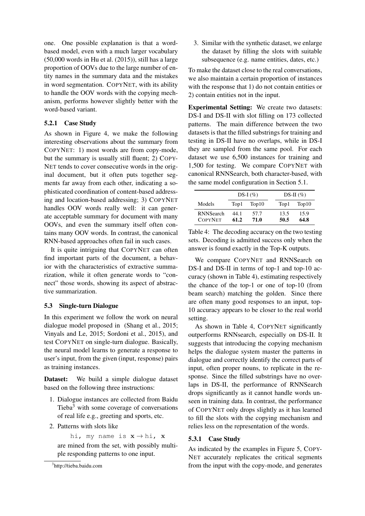one. One possible explanation is that a wordbased model, even with a much larger vocabulary  $(50,000$  words in Hu et al.  $(2015)$ , still has a large proportion of OOVs due to the large number of entity names in the summary data and the mistakes in word segmentation. COPYNET, with its ability to handle the OOV words with the copying mechanism, performs however slightly better with the word-based variant.

## 5.2.1 Case Study

As shown in Figure 4, we make the following interesting observations about the summary from COPYNET: 1) most words are from copy-mode, but the summary is usually still fluent; 2) COPY-NET tends to cover consecutive words in the original document, but it often puts together segments far away from each other, indicating a sophisticated coordination of content-based addressing and location-based addressing; 3) COPYNET handles OOV words really well: it can generate acceptable summary for document with many OOVs, and even the summary itself often contains many OOV words. In contrast, the canonical RNN-based approaches often fail in such cases.

It is quite intriguing that COPYNET can often find important parts of the document, a behavior with the characteristics of extractive summarization, while it often generate words to "connect" those words, showing its aspect of abstractive summarization.

## 5.3 Single-turn Dialogue

In this experiment we follow the work on neural dialogue model proposed in (Shang et al., 2015; Vinyals and Le, 2015; Sordoni et al., 2015), and test COPYNET on single-turn dialogue. Basically, the neural model learns to generate a response to user's input, from the given (input, response) pairs as training instances.

Dataset: We build a simple dialogue dataset based on the following three instructions:

- 1. Dialogue instances are collected from Baidu Tieba<sup>3</sup> with some coverage of conversations of real life e.g., greeting and sports, etc.
- 2. Patterns with slots like

hi, my name is  $x \rightarrow h$ i, x are mined from the set, with possibly multiple responding patterns to one input.

3. Similar with the synthetic dataset, we enlarge the dataset by filling the slots with suitable subsequence (e.g. name entities, dates, etc.)

To make the dataset close to the real conversations, we also maintain a certain proportion of instances with the response that 1) do not contain entities or 2) contain entities not in the input.

Experimental Setting: We create two datasets: DS-I and DS-II with slot filling on 173 collected patterns. The main difference between the two datasets is that the filled substrings for training and testing in DS-II have no overlaps, while in DS-I they are sampled from the same pool. For each dataset we use 6,500 instances for training and 1,500 for testing. We compare COPYNET with canonical RNNSearch, both character-based, with the same model configuration in Section 5.1.

|                                    | DS-I $(\%)$  |              |              | DS-II $(\% )$ |
|------------------------------------|--------------|--------------|--------------|---------------|
| Models                             | Top1         | Top10        | Top1         | Top10         |
| <b>RNNSearch</b><br><b>COPYNET</b> | 44.1<br>61.2 | 57.7<br>71.0 | 13.5<br>50.5 | 15.9<br>64.8  |

Table 4: The decoding accuracy on the two testing sets. Decoding is admitted success only when the answer is found exactly in the Top-K outputs.

We compare COPYNET and RNNSearch on DS-I and DS-II in terms of top-1 and top-10 accuracy (shown in Table 4), estimating respectively the chance of the top-1 or one of top-10 (from beam search) matching the golden. Since there are often many good responses to an input, top-10 accuracy appears to be closer to the real world setting.

As shown in Table 4, COPYNET significantly outperforms RNNsearch, especially on DS-II. It suggests that introducing the copying mechanism helps the dialogue system master the patterns in dialogue and correctly identify the correct parts of input, often proper nouns, to replicate in the response. Since the filled substrings have no overlaps in DS-II, the performance of RNNSearch drops significantly as it cannot handle words unseen in training data. In contrast, the performance of COPYNET only drops slightly as it has learned to fill the slots with the copying mechanism and relies less on the representation of the words.

## 5.3.1 Case Study

As indicated by the examples in Figure 5, COPY-NET accurately replicates the critical segments from the input with the copy-mode, and generates

<sup>3</sup> http://tieba.baidu.com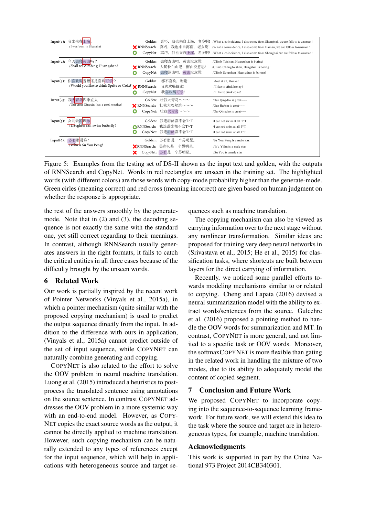| Input(1): | 我出生在上海。<br>/I was born in Shanghai                                     | О                   |                                                                                       | Golden: 真巧, 我也来自上海, 老乡啊! /What a coincidence, I also come from Shanghai, we are fellow townsman!<br><b>X</b> RNNSearch: 真巧, 我也来自海南, 老乡啊! /What a coincidence, I also come from Hainan, we are fellow townsman!<br>CopyNet: 真巧, 我也来自上海, 老乡啊! /What a coincidence, I also come from Shanghai, we are fellow townsman! |
|-----------|------------------------------------------------------------------------|---------------------|---------------------------------------------------------------------------------------|---------------------------------------------------------------------------------------------------------------------------------------------------------------------------------------------------------------------------------------------------------------------------------------------------------------------|
|           | Input(2): 今天去爬黄山吗?<br>/Shall we climbing Huangshan?                    | О                   | Golden: 去爬泰山吧, 黄山没意思!<br><b>X</b> RNNSearch: 去爬长白山吧, 衡山没意思!<br>CopyNet: 去爬嵩山吧, 黄山没意思! | /Climb Taishan. Huangshan is boring!<br>/Climb Changbaishan, Hengshan is boring!<br>/Climb Songshan, Huangshan is boring!                                                                                                                                                                                           |
| Input(3): | 你喜欢喝雪碧还是喜欢可乐?<br>/Would you like to drink Sprite or Coke? X RNNSearch: | Golden:<br>CopyNet: | 都不喜欢, 谢谢!<br>我喜欢喝蜂蜜!<br>我喜欢喝可乐!                                                       | /Not at all. thanks!<br>/I like to drink honey!<br>/I like to drink coke!                                                                                                                                                                                                                                           |
| Input(4): | 我大青岛四季宜人<br>/Our great Oingdao has a good weather!                     | $\Omega$            | Golden: 壮我大青岛~~~<br><b>X</b> RNNSearch: 壮我大哈尔滨~~~<br>CopyNet: 壮我大青岛~~~                | /Our Qingdao is great $\sim\sim$<br>/Our Harbin is great~~~<br>/Our Qingdao is great~~~                                                                                                                                                                                                                             |
|           | Input(5):   女儿会游蝶泳<br>7Daughter can swim butterfly?                    | Golden:<br>O        | 我连游泳都不会T^T<br>● RNNSearch: 我连游泳都不会T^T<br>CopyNet: 我连游泳都不会T^T                          | /Leannot swim at all T^T<br>/Leannot swim at all T^T<br>/I cannot swim at all T <sup>^</sup> T                                                                                                                                                                                                                      |
| Input(6): | 苏有朋是谁?<br><b>Who</b> is Su You Peng?                                   |                     | Golden:苏有朋是一个男明星。<br>XRNNSearch: 吴亦凡是一个男明星。<br>CopyNet: 苏有是一个男明星。                     | /Su You Peng is a male star.<br>/Wu Yifan is a male star.<br>/Su You is a male star                                                                                                                                                                                                                                 |

Figure 5: Examples from the testing set of DS-II shown as the input text and golden, with the outputs of RNNSearch and CopyNet. Words in red rectangles are unseen in the training set. The highlighted words (with different colors) are those words with copy-mode probability higher than the generate-mode. Green cirles (meaning correct) and red cross (meaning incorrect) are given based on human judgment on whether the response is appropriate.

the rest of the answers smoothly by the generatemode. Note that in (2) and (3), the decoding sequence is not exactly the same with the standard one, yet still correct regarding to their meanings. In contrast, although RNNSearch usually generates answers in the right formats, it fails to catch the critical entities in all three cases because of the difficulty brought by the unseen words.

## 6 Related Work

Our work is partially inspired by the recent work of Pointer Networks (Vinyals et al., 2015a), in which a pointer mechanism (quite similar with the proposed copying mechanism) is used to predict the output sequence directly from the input. In addition to the difference with ours in application, (Vinyals et al., 2015a) cannot predict outside of the set of input sequence, while COPYNET can naturally combine generating and copying.

COPYNET is also related to the effort to solve the OOV problem in neural machine translation. Luong et al. (2015) introduced a heuristics to postprocess the translated sentence using annotations on the source sentence. In contrast COPYNET addresses the OOV problem in a more systemic way with an end-to-end model. However, as COPY-NET copies the exact source words as the output, it cannot be directly applied to machine translation. However, such copying mechanism can be naturally extended to any types of references except for the input sequence, which will help in applications with heterogeneous source and target sequences such as machine translation.

The copying mechanism can also be viewed as carrying information over to the next stage without any nonlinear transformation. Similar ideas are proposed for training very deep neural networks in (Srivastava et al., 2015; He et al., 2015) for classification tasks, where shortcuts are built between layers for the direct carrying of information.

Recently, we noticed some parallel efforts towards modeling mechanisms similar to or related to copying. Cheng and Lapata (2016) devised a neural summarization model with the ability to extract words/sentences from the source. Gulcehre et al. (2016) proposed a pointing method to handle the OOV words for summarization and MT. In contrast, COPYNET is more general, and not limited to a specific task or OOV words. Moreover, the softmaxCOPYNET is more flexible than gating in the related work in handling the mixture of two modes, due to its ability to adequately model the content of copied segment.

# 7 Conclusion and Future Work

We proposed COPYNET to incorporate copying into the sequence-to-sequence learning framework. For future work, we will extend this idea to the task where the source and target are in heterogeneous types, for example, machine translation.

## Acknowledgments

This work is supported in part by the China National 973 Project 2014CB340301.